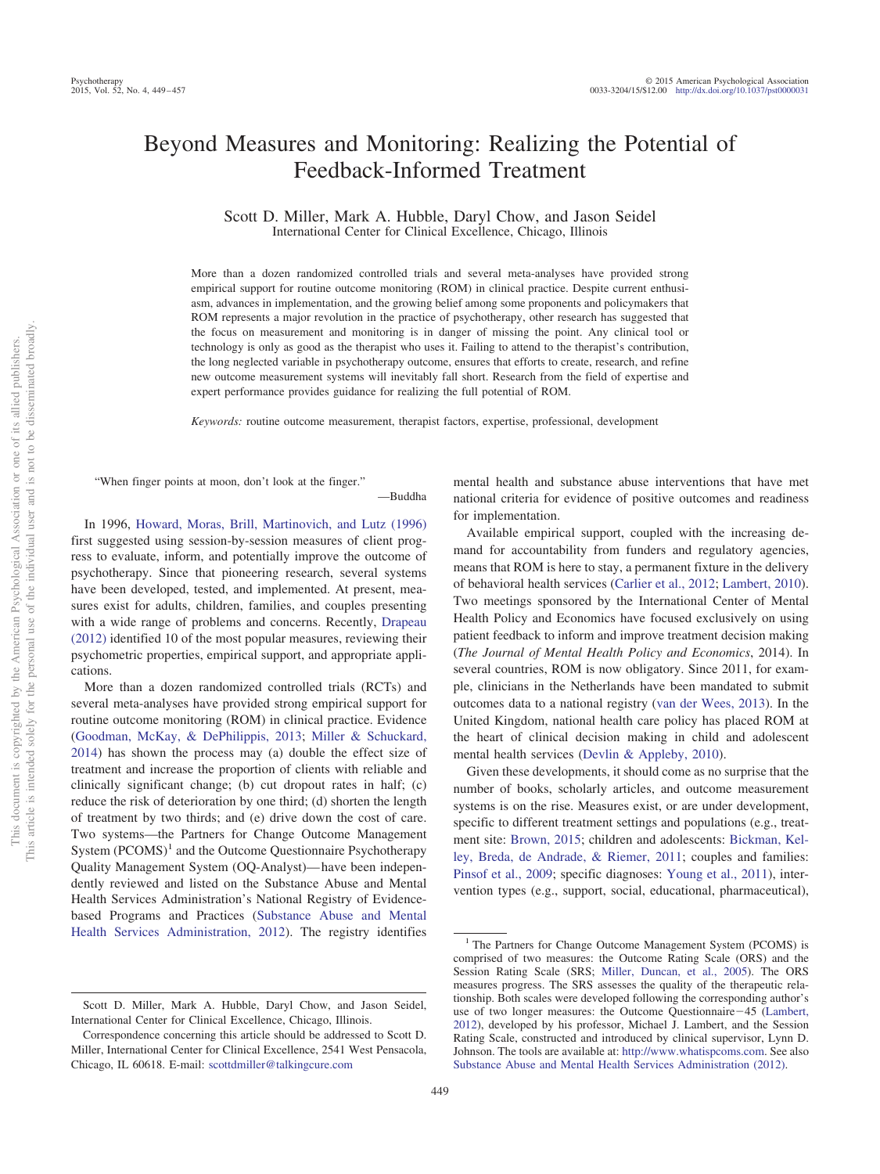# Beyond Measures and Monitoring: Realizing the Potential of Feedback-Informed Treatment

Scott D. Miller, Mark A. Hubble, Daryl Chow, and Jason Seidel International Center for Clinical Excellence, Chicago, Illinois

More than a dozen randomized controlled trials and several meta-analyses have provided strong empirical support for routine outcome monitoring (ROM) in clinical practice. Despite current enthusiasm, advances in implementation, and the growing belief among some proponents and policymakers that ROM represents a major revolution in the practice of psychotherapy, other research has suggested that the focus on measurement and monitoring is in danger of missing the point. Any clinical tool or technology is only as good as the therapist who uses it. Failing to attend to the therapist's contribution, the long neglected variable in psychotherapy outcome, ensures that efforts to create, research, and refine new outcome measurement systems will inevitably fall short. Research from the field of expertise and expert performance provides guidance for realizing the full potential of ROM.

*Keywords:* routine outcome measurement, therapist factors, expertise, professional, development

"When finger points at moon, don't look at the finger."

—Buddha

In 1996, [Howard, Moras, Brill, Martinovich, and Lutz \(1996\)](#page-7-0) first suggested using session-by-session measures of client progress to evaluate, inform, and potentially improve the outcome of psychotherapy. Since that pioneering research, several systems have been developed, tested, and implemented. At present, measures exist for adults, children, families, and couples presenting with a wide range of problems and concerns. Recently, [Drapeau](#page-7-1) [\(2012\)](#page-7-1) identified 10 of the most popular measures, reviewing their psychometric properties, empirical support, and appropriate applications.

More than a dozen randomized controlled trials (RCTs) and several meta-analyses have provided strong empirical support for routine outcome monitoring (ROM) in clinical practice. Evidence [\(Goodman, McKay, & DePhilippis, 2013;](#page-7-2) [Miller & Schuckard,](#page-8-0) [2014\)](#page-8-0) has shown the process may (a) double the effect size of treatment and increase the proportion of clients with reliable and clinically significant change; (b) cut dropout rates in half; (c) reduce the risk of deterioration by one third; (d) shorten the length of treatment by two thirds; and (e) drive down the cost of care. Two systems—the Partners for Change Outcome Management System  $(PCOMS)^1$  and the Outcome Questionnaire Psychotherapy Quality Management System (OQ-Analyst)— have been independently reviewed and listed on the Substance Abuse and Mental Health Services Administration's National Registry of Evidencebased Programs and Practices [\(Substance Abuse and Mental](#page-8-1) [Health Services Administration, 2012\)](#page-8-1). The registry identifies mental health and substance abuse interventions that have met national criteria for evidence of positive outcomes and readiness for implementation.

Available empirical support, coupled with the increasing demand for accountability from funders and regulatory agencies, means that ROM is here to stay, a permanent fixture in the delivery of behavioral health services [\(Carlier et al., 2012;](#page-6-0) [Lambert, 2010\)](#page-7-3). Two meetings sponsored by the International Center of Mental Health Policy and Economics have focused exclusively on using patient feedback to inform and improve treatment decision making (*The Journal of Mental Health Policy and Economics*, 2014). In several countries, ROM is now obligatory. Since 2011, for example, clinicians in the Netherlands have been mandated to submit outcomes data to a national registry [\(van der Wees, 2013\)](#page-8-2). In the United Kingdom, national health care policy has placed ROM at the heart of clinical decision making in child and adolescent mental health services [\(Devlin & Appleby, 2010\)](#page-7-4).

Given these developments, it should come as no surprise that the number of books, scholarly articles, and outcome measurement systems is on the rise. Measures exist, or are under development, specific to different treatment settings and populations (e.g., treatment site: [Brown, 2015;](#page-6-1) children and adolescents: [Bickman, Kel](#page-6-2)[ley, Breda, de Andrade, & Riemer, 2011;](#page-6-2) couples and families: [Pinsof et al., 2009;](#page-8-3) specific diagnoses: [Young et al., 2011\)](#page-8-4), intervention types (e.g., support, social, educational, pharmaceutical),

Scott D. Miller, Mark A. Hubble, Daryl Chow, and Jason Seidel, International Center for Clinical Excellence, Chicago, Illinois.

Correspondence concerning this article should be addressed to Scott D. Miller, International Center for Clinical Excellence, 2541 West Pensacola, Chicago, IL 60618. E-mail: [scottdmiller@talkingcure.com](mailto:scottdmiller@talkingcure.com)

<sup>&</sup>lt;sup>1</sup> The Partners for Change Outcome Management System (PCOMS) is comprised of two measures: the Outcome Rating Scale (ORS) and the Session Rating Scale (SRS; [Miller, Duncan, et al., 2005\)](#page-8-5). The ORS measures progress. The SRS assesses the quality of the therapeutic relationship. Both scales were developed following the corresponding author's use of two longer measures: the Outcome Questionnaire-45 [\(Lambert,](#page-7-5) [2012\)](#page-7-5), developed by his professor, Michael J. Lambert, and the Session Rating Scale, constructed and introduced by clinical supervisor, Lynn D. Johnson. The tools are available at: [http://www.whatispcoms.com.](http://www.whatispcoms.com) See also [Substance Abuse and Mental Health Services Administration \(2012\).](#page-8-1)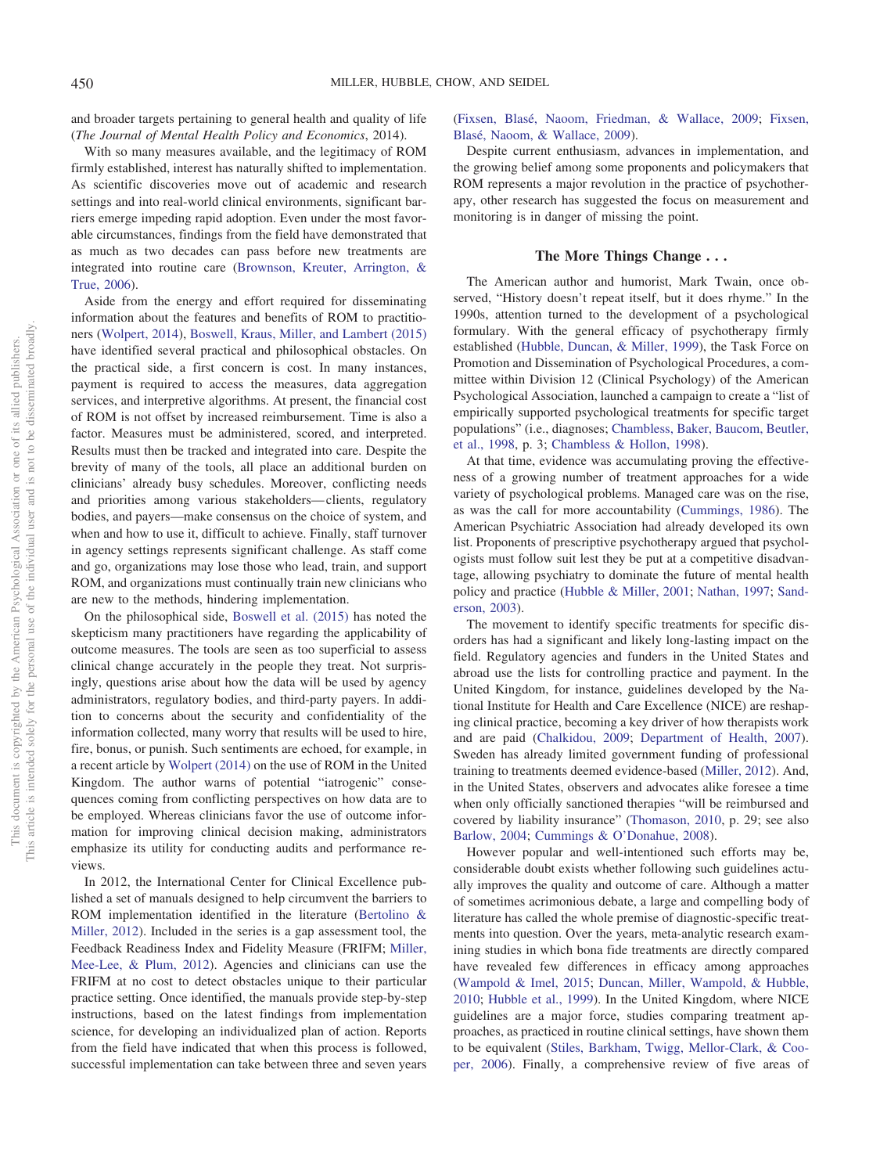and broader targets pertaining to general health and quality of life (*The Journal of Mental Health Policy and Economics*, 2014).

With so many measures available, and the legitimacy of ROM firmly established, interest has naturally shifted to implementation. As scientific discoveries move out of academic and research settings and into real-world clinical environments, significant barriers emerge impeding rapid adoption. Even under the most favorable circumstances, findings from the field have demonstrated that as much as two decades can pass before new treatments are integrated into routine care [\(Brownson, Kreuter, Arrington, &](#page-6-3) [True, 2006\)](#page-6-3).

Aside from the energy and effort required for disseminating information about the features and benefits of ROM to practitioners [\(Wolpert, 2014\)](#page-8-6), [Boswell, Kraus, Miller, and Lambert \(2015\)](#page-6-4) have identified several practical and philosophical obstacles. On the practical side, a first concern is cost. In many instances, payment is required to access the measures, data aggregation services, and interpretive algorithms. At present, the financial cost of ROM is not offset by increased reimbursement. Time is also a factor. Measures must be administered, scored, and interpreted. Results must then be tracked and integrated into care. Despite the brevity of many of the tools, all place an additional burden on clinicians' already busy schedules. Moreover, conflicting needs and priorities among various stakeholders— clients, regulatory bodies, and payers—make consensus on the choice of system, and when and how to use it, difficult to achieve. Finally, staff turnover in agency settings represents significant challenge. As staff come and go, organizations may lose those who lead, train, and support ROM, and organizations must continually train new clinicians who are new to the methods, hindering implementation.

On the philosophical side, [Boswell et al. \(2015\)](#page-6-4) has noted the skepticism many practitioners have regarding the applicability of outcome measures. The tools are seen as too superficial to assess clinical change accurately in the people they treat. Not surprisingly, questions arise about how the data will be used by agency administrators, regulatory bodies, and third-party payers. In addition to concerns about the security and confidentiality of the information collected, many worry that results will be used to hire, fire, bonus, or punish. Such sentiments are echoed, for example, in a recent article by [Wolpert \(2014\)](#page-8-6) on the use of ROM in the United Kingdom. The author warns of potential "iatrogenic" consequences coming from conflicting perspectives on how data are to be employed. Whereas clinicians favor the use of outcome information for improving clinical decision making, administrators emphasize its utility for conducting audits and performance reviews.

In 2012, the International Center for Clinical Excellence published a set of manuals designed to help circumvent the barriers to ROM implementation identified in the literature [\(Bertolino &](#page-6-5) [Miller, 2012\)](#page-6-5). Included in the series is a gap assessment tool, the Feedback Readiness Index and Fidelity Measure (FRIFM; [Miller,](#page-8-7) [Mee-Lee, & Plum, 2012\)](#page-8-7). Agencies and clinicians can use the FRIFM at no cost to detect obstacles unique to their particular practice setting. Once identified, the manuals provide step-by-step instructions, based on the latest findings from implementation science, for developing an individualized plan of action. Reports from the field have indicated that when this process is followed, successful implementation can take between three and seven years [\(Fixsen, Blasé, Naoom, Friedman, & Wallace, 2009;](#page-7-6) [Fixsen,](#page-7-6) [Blasé, Naoom, & Wallace, 2009\)](#page-7-6).

Despite current enthusiasm, advances in implementation, and the growing belief among some proponents and policymakers that ROM represents a major revolution in the practice of psychotherapy, other research has suggested the focus on measurement and monitoring is in danger of missing the point.

#### **The More Things Change...**

The American author and humorist, Mark Twain, once observed, "History doesn't repeat itself, but it does rhyme." In the 1990s, attention turned to the development of a psychological formulary. With the general efficacy of psychotherapy firmly established [\(Hubble, Duncan, & Miller, 1999\)](#page-7-7), the Task Force on Promotion and Dissemination of Psychological Procedures, a committee within Division 12 (Clinical Psychology) of the American Psychological Association, launched a campaign to create a "list of empirically supported psychological treatments for specific target populations" (i.e., diagnoses; [Chambless, Baker, Baucom, Beutler,](#page-6-6) [et al., 1998,](#page-6-6) p. 3; [Chambless & Hollon, 1998\)](#page-6-6).

At that time, evidence was accumulating proving the effectiveness of a growing number of treatment approaches for a wide variety of psychological problems. Managed care was on the rise, as was the call for more accountability [\(Cummings, 1986\)](#page-7-8). The American Psychiatric Association had already developed its own list. Proponents of prescriptive psychotherapy argued that psychologists must follow suit lest they be put at a competitive disadvantage, allowing psychiatry to dominate the future of mental health policy and practice [\(Hubble & Miller, 2001;](#page-7-9) [Nathan, 1997;](#page-8-8) [Sand](#page-8-9)[erson, 2003\)](#page-8-9).

The movement to identify specific treatments for specific disorders has had a significant and likely long-lasting impact on the field. Regulatory agencies and funders in the United States and abroad use the lists for controlling practice and payment. In the United Kingdom, for instance, guidelines developed by the National Institute for Health and Care Excellence (NICE) are reshaping clinical practice, becoming a key driver of how therapists work and are paid [\(Chalkidou, 2009;](#page-6-7) [Department of Health, 2007\)](#page-7-10). Sweden has already limited government funding of professional training to treatments deemed evidence-based [\(Miller, 2012\)](#page-7-11). And, in the United States, observers and advocates alike foresee a time when only officially sanctioned therapies "will be reimbursed and covered by liability insurance" [\(Thomason, 2010,](#page-8-10) p. 29; see also [Barlow, 2004;](#page-6-8) [Cummings & O'Donahue, 2008\)](#page-7-12).

However popular and well-intentioned such efforts may be, considerable doubt exists whether following such guidelines actually improves the quality and outcome of care. Although a matter of sometimes acrimonious debate, a large and compelling body of literature has called the whole premise of diagnostic-specific treatments into question. Over the years, meta-analytic research examining studies in which bona fide treatments are directly compared have revealed few differences in efficacy among approaches [\(Wampold & Imel, 2015;](#page-8-11) [Duncan, Miller, Wampold, & Hubble,](#page-7-13) [2010;](#page-7-13) [Hubble et al., 1999\)](#page-7-7). In the United Kingdom, where NICE guidelines are a major force, studies comparing treatment approaches, as practiced in routine clinical settings, have shown them to be equivalent [\(Stiles, Barkham, Twigg, Mellor-Clark, & Coo](#page-8-12)[per, 2006\)](#page-8-12). Finally, a comprehensive review of five areas of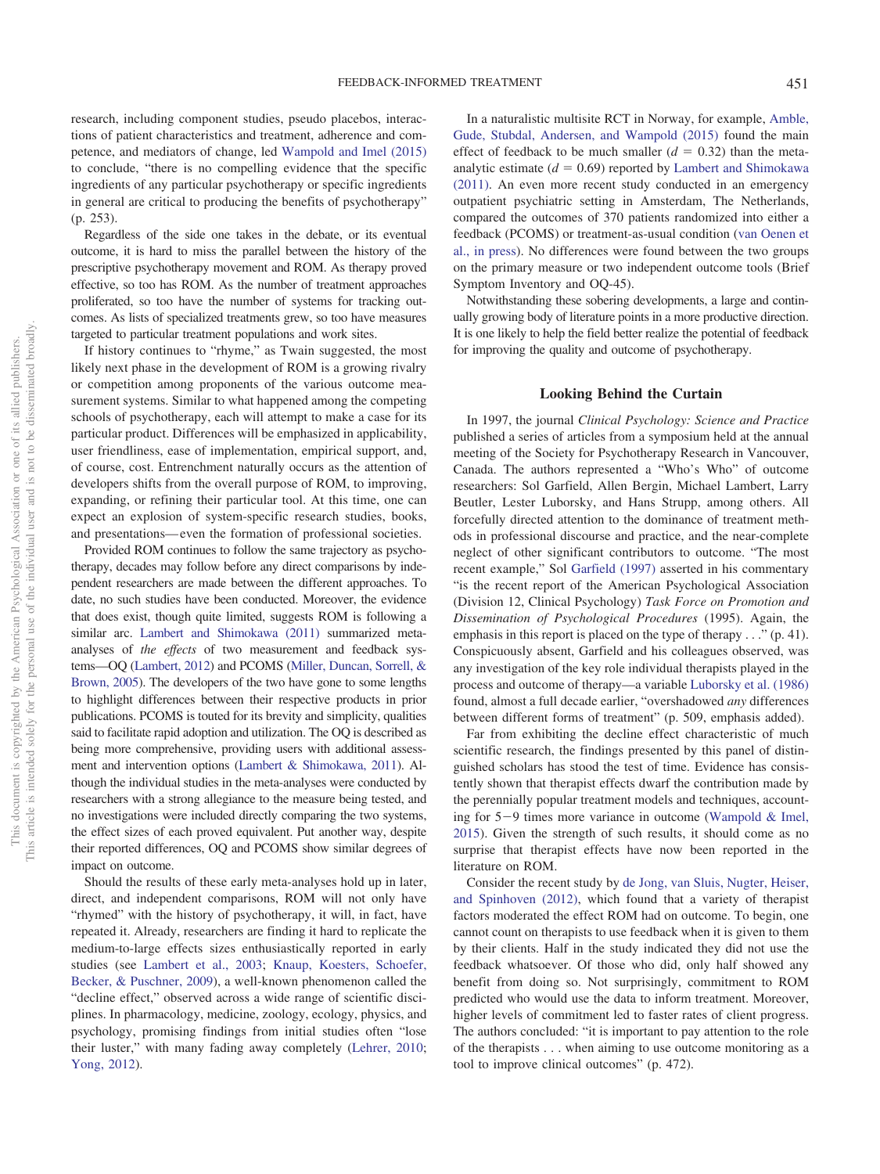research, including component studies, pseudo placebos, interactions of patient characteristics and treatment, adherence and competence, and mediators of change, led [Wampold and Imel \(2015\)](#page-8-11)

to conclude, "there is no compelling evidence that the specific ingredients of any particular psychotherapy or specific ingredients in general are critical to producing the benefits of psychotherapy" (p. 253).

Regardless of the side one takes in the debate, or its eventual outcome, it is hard to miss the parallel between the history of the prescriptive psychotherapy movement and ROM. As therapy proved effective, so too has ROM. As the number of treatment approaches proliferated, so too have the number of systems for tracking outcomes. As lists of specialized treatments grew, so too have measures targeted to particular treatment populations and work sites.

If history continues to "rhyme," as Twain suggested, the most likely next phase in the development of ROM is a growing rivalry or competition among proponents of the various outcome measurement systems. Similar to what happened among the competing schools of psychotherapy, each will attempt to make a case for its particular product. Differences will be emphasized in applicability, user friendliness, ease of implementation, empirical support, and, of course, cost. Entrenchment naturally occurs as the attention of developers shifts from the overall purpose of ROM, to improving, expanding, or refining their particular tool. At this time, one can expect an explosion of system-specific research studies, books, and presentations— even the formation of professional societies.

Provided ROM continues to follow the same trajectory as psychotherapy, decades may follow before any direct comparisons by independent researchers are made between the different approaches. To date, no such studies have been conducted. Moreover, the evidence that does exist, though quite limited, suggests ROM is following a similar arc. [Lambert and Shimokawa \(2011\)](#page-7-14) summarized metaanalyses of *the effects* of two measurement and feedback systems—OQ [\(Lambert, 2012\)](#page-7-5) and PCOMS [\(Miller, Duncan, Sorrell, &](#page-8-5) [Brown, 2005\)](#page-8-5). The developers of the two have gone to some lengths to highlight differences between their respective products in prior publications. PCOMS is touted for its brevity and simplicity, qualities said to facilitate rapid adoption and utilization. The OQ is described as being more comprehensive, providing users with additional assessment and intervention options [\(Lambert & Shimokawa, 2011\)](#page-7-14). Although the individual studies in the meta-analyses were conducted by researchers with a strong allegiance to the measure being tested, and no investigations were included directly comparing the two systems, the effect sizes of each proved equivalent. Put another way, despite their reported differences, OQ and PCOMS show similar degrees of impact on outcome.

Should the results of these early meta-analyses hold up in later, direct, and independent comparisons, ROM will not only have "rhymed" with the history of psychotherapy, it will, in fact, have repeated it. Already, researchers are finding it hard to replicate the medium-to-large effects sizes enthusiastically reported in early studies (see [Lambert et al., 2003;](#page-7-15) [Knaup, Koesters, Schoefer,](#page-7-16) [Becker, & Puschner, 2009\)](#page-7-16), a well-known phenomenon called the "decline effect," observed across a wide range of scientific disciplines. In pharmacology, medicine, zoology, ecology, physics, and psychology, promising findings from initial studies often "lose their luster," with many fading away completely [\(Lehrer, 2010;](#page-7-17) [Yong, 2012\)](#page-8-13).

In a naturalistic multisite RCT in Norway, for example, [Amble,](#page-6-9) [Gude, Stubdal, Andersen, and Wampold \(2015\)](#page-6-9) found the main effect of feedback to be much smaller  $(d = 0.32)$  than the metaanalytic estimate  $(d = 0.69)$  reported by [Lambert and Shimokawa](#page-7-14) [\(2011\).](#page-7-14) An even more recent study conducted in an emergency outpatient psychiatric setting in Amsterdam, The Netherlands, compared the outcomes of 370 patients randomized into either a feedback (PCOMS) or treatment-as-usual condition [\(van Oenen et](#page-8-14) [al., in press\)](#page-8-14). No differences were found between the two groups on the primary measure or two independent outcome tools (Brief Symptom Inventory and OQ-45).

Notwithstanding these sobering developments, a large and continually growing body of literature points in a more productive direction. It is one likely to help the field better realize the potential of feedback for improving the quality and outcome of psychotherapy.

### **Looking Behind the Curtain**

In 1997, the journal *Clinical Psychology: Science and Practice* published a series of articles from a symposium held at the annual meeting of the Society for Psychotherapy Research in Vancouver, Canada. The authors represented a "Who's Who" of outcome researchers: Sol Garfield, Allen Bergin, Michael Lambert, Larry Beutler, Lester Luborsky, and Hans Strupp, among others. All forcefully directed attention to the dominance of treatment methods in professional discourse and practice, and the near-complete neglect of other significant contributors to outcome. "The most recent example," Sol [Garfield \(1997\)](#page-7-18) asserted in his commentary "is the recent report of the American Psychological Association (Division 12, Clinical Psychology) *Task Force on Promotion and Dissemination of Psychological Procedures* (1995). Again, the emphasis in this report is placed on the type of therapy . . ." (p. 41). Conspicuously absent, Garfield and his colleagues observed, was any investigation of the key role individual therapists played in the process and outcome of therapy—a variable [Luborsky et al. \(1986\)](#page-7-19) found, almost a full decade earlier, "overshadowed *any* differences between different forms of treatment" (p. 509, emphasis added).

Far from exhibiting the decline effect characteristic of much scientific research, the findings presented by this panel of distinguished scholars has stood the test of time. Evidence has consistently shown that therapist effects dwarf the contribution made by the perennially popular treatment models and techniques, accounting for 5-9 times more variance in outcome [\(Wampold & Imel,](#page-8-11) [2015\)](#page-8-11). Given the strength of such results, it should come as no surprise that therapist effects have now been reported in the literature on ROM.

Consider the recent study by [de Jong, van Sluis, Nugter, Heiser,](#page-7-20) [and Spinhoven \(2012\),](#page-7-20) which found that a variety of therapist factors moderated the effect ROM had on outcome. To begin, one cannot count on therapists to use feedback when it is given to them by their clients. Half in the study indicated they did not use the feedback whatsoever. Of those who did, only half showed any benefit from doing so. Not surprisingly, commitment to ROM predicted who would use the data to inform treatment. Moreover, higher levels of commitment led to faster rates of client progress. The authors concluded: "it is important to pay attention to the role of the therapists... when aiming to use outcome monitoring as a tool to improve clinical outcomes" (p. 472).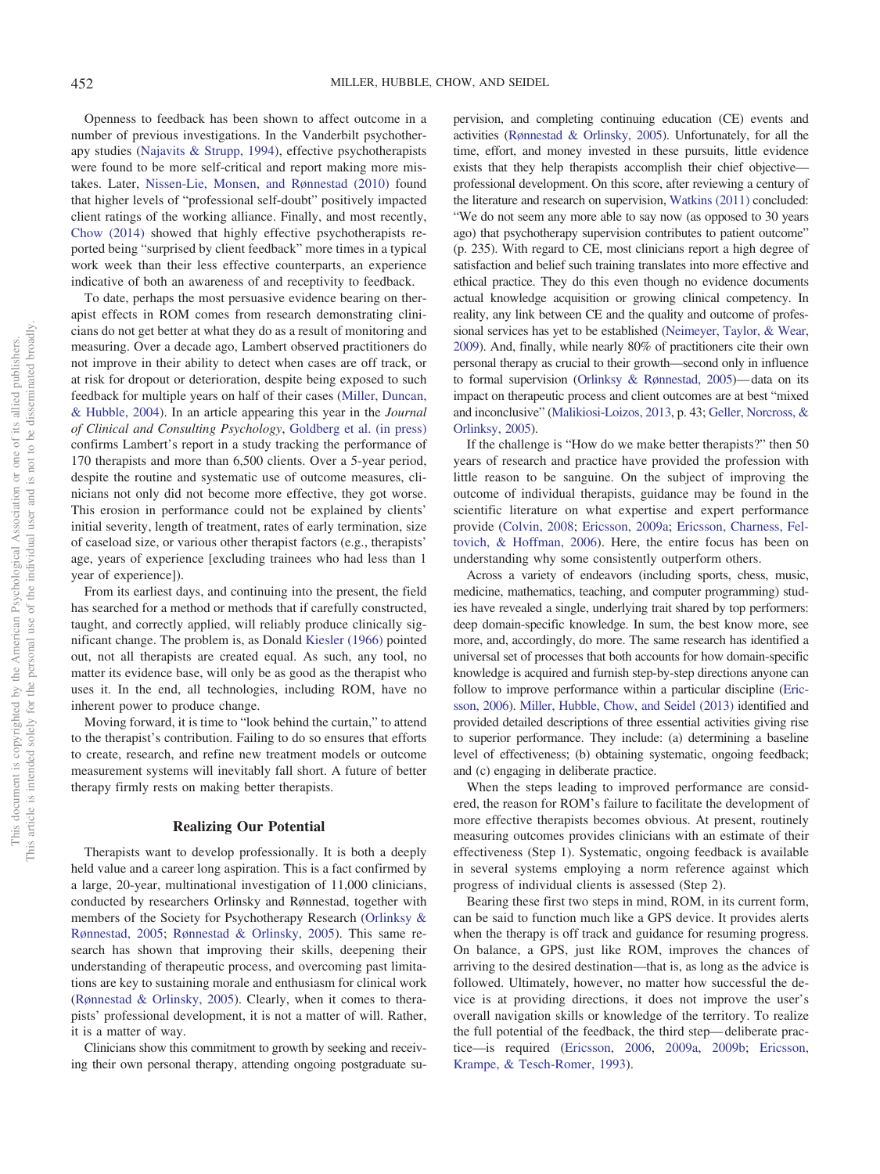Openness to feedback has been shown to affect outcome in a number of previous investigations. In the Vanderbilt psychotherapy studies [\(Najavits & Strupp, 1994\)](#page-8-15), effective psychotherapists were found to be more self-critical and report making more mistakes. Later, [Nissen-Lie, Monsen, and Rønnestad \(2010\)](#page-8-16) found that higher levels of "professional self-doubt" positively impacted client ratings of the working alliance. Finally, and most recently, [Chow \(2014\)](#page-6-10) showed that highly effective psychotherapists reported being "surprised by client feedback" more times in a typical work week than their less effective counterparts, an experience indicative of both an awareness of and receptivity to feedback.

To date, perhaps the most persuasive evidence bearing on therapist effects in ROM comes from research demonstrating clinicians do not get better at what they do as a result of monitoring and measuring. Over a decade ago, Lambert observed practitioners do not improve in their ability to detect when cases are off track, or at risk for dropout or deterioration, despite being exposed to such feedback for multiple years on half of their cases [\(Miller, Duncan,](#page-8-17) [& Hubble, 2004\)](#page-8-17). In an article appearing this year in the *Journal of Clinical and Consulting Psychology*, [Goldberg et al. \(in press\)](#page-7-21) confirms Lambert's report in a study tracking the performance of 170 therapists and more than 6,500 clients. Over a 5-year period, despite the routine and systematic use of outcome measures, clinicians not only did not become more effective, they got worse. This erosion in performance could not be explained by clients' initial severity, length of treatment, rates of early termination, size of caseload size, or various other therapist factors (e.g., therapists' age, years of experience [excluding trainees who had less than 1 year of experience]).

From its earliest days, and continuing into the present, the field has searched for a method or methods that if carefully constructed, taught, and correctly applied, will reliably produce clinically significant change. The problem is, as Donald [Kiesler \(1966\)](#page-7-22) pointed out, not all therapists are created equal. As such, any tool, no matter its evidence base, will only be as good as the therapist who uses it. In the end, all technologies, including ROM, have no inherent power to produce change.

Moving forward, it is time to "look behind the curtain," to attend to the therapist's contribution. Failing to do so ensures that efforts to create, research, and refine new treatment models or outcome measurement systems will inevitably fall short. A future of better therapy firmly rests on making better therapists.

#### **Realizing Our Potential**

Therapists want to develop professionally. It is both a deeply held value and a career long aspiration. This is a fact confirmed by a large, 20-year, multinational investigation of 11,000 clinicians, conducted by researchers Orlinsky and Rønnestad, together with members of the Society for Psychotherapy Research [\(Orlinksy &](#page-8-18) [Rønnestad, 2005;](#page-8-18) [Rønnestad & Orlinsky, 2005\)](#page-8-19). This same research has shown that improving their skills, deepening their understanding of therapeutic process, and overcoming past limitations are key to sustaining morale and enthusiasm for clinical work [\(Rønnestad & Orlinsky, 2005\)](#page-8-19). Clearly, when it comes to therapists' professional development, it is not a matter of will. Rather, it is a matter of way.

Clinicians show this commitment to growth by seeking and receiving their own personal therapy, attending ongoing postgraduate su-

pervision, and completing continuing education (CE) events and activities [\(Rønnestad & Orlinsky, 2005\)](#page-8-19). Unfortunately, for all the time, effort, and money invested in these pursuits, little evidence exists that they help therapists accomplish their chief objective professional development. On this score, after reviewing a century of the literature and research on supervision, [Watkins \(2011\)](#page-8-20) concluded: "We do not seem any more able to say now (as opposed to 30 years ago) that psychotherapy supervision contributes to patient outcome" (p. 235). With regard to CE, most clinicians report a high degree of satisfaction and belief such training translates into more effective and ethical practice. They do this even though no evidence documents actual knowledge acquisition or growing clinical competency. In reality, any link between CE and the quality and outcome of professional services has yet to be established [\(Neimeyer, Taylor, & Wear,](#page-8-21) [2009\)](#page-8-21). And, finally, while nearly 80% of practitioners cite their own personal therapy as crucial to their growth—second only in influence to formal supervision [\(Orlinksy & Rønnestad, 2005\)](#page-8-18)— data on its impact on therapeutic process and client outcomes are at best "mixed and inconclusive" [\(Malikiosi-Loizos, 2013,](#page-7-23) p. 43; [Geller, Norcross, &](#page-7-24) [Orlinksy, 2005\)](#page-7-24).

If the challenge is "How do we make better therapists?" then 50 years of research and practice have provided the profession with little reason to be sanguine. On the subject of improving the outcome of individual therapists, guidance may be found in the scientific literature on what expertise and expert performance provide [\(Colvin, 2008;](#page-7-25) [Ericsson, 2009a;](#page-7-26) [Ericsson, Charness, Fel](#page-7-27)[tovich, & Hoffman, 2006\)](#page-7-27). Here, the entire focus has been on understanding why some consistently outperform others.

Across a variety of endeavors (including sports, chess, music, medicine, mathematics, teaching, and computer programming) studies have revealed a single, underlying trait shared by top performers: deep domain-specific knowledge. In sum, the best know more, see more, and, accordingly, do more. The same research has identified a universal set of processes that both accounts for how domain-specific knowledge is acquired and furnish step-by-step directions anyone can follow to improve performance within a particular discipline [\(Eric](#page-7-28)[sson, 2006\)](#page-7-28). [Miller, Hubble, Chow, and Seidel \(2013\)](#page-8-22) identified and provided detailed descriptions of three essential activities giving rise to superior performance. They include: (a) determining a baseline level of effectiveness; (b) obtaining systematic, ongoing feedback; and (c) engaging in deliberate practice.

When the steps leading to improved performance are considered, the reason for ROM's failure to facilitate the development of more effective therapists becomes obvious. At present, routinely measuring outcomes provides clinicians with an estimate of their effectiveness (Step 1). Systematic, ongoing feedback is available in several systems employing a norm reference against which progress of individual clients is assessed (Step 2).

Bearing these first two steps in mind, ROM, in its current form, can be said to function much like a GPS device. It provides alerts when the therapy is off track and guidance for resuming progress. On balance, a GPS, just like ROM, improves the chances of arriving to the desired destination—that is, as long as the advice is followed. Ultimately, however, no matter how successful the device is at providing directions, it does not improve the user's overall navigation skills or knowledge of the territory. To realize the full potential of the feedback, the third step— deliberate practice—is required [\(Ericsson, 2006,](#page-7-28) [2009a,](#page-7-26) [2009b;](#page-7-29) [Ericsson,](#page-7-30) [Krampe, & Tesch-Romer, 1993\)](#page-7-30).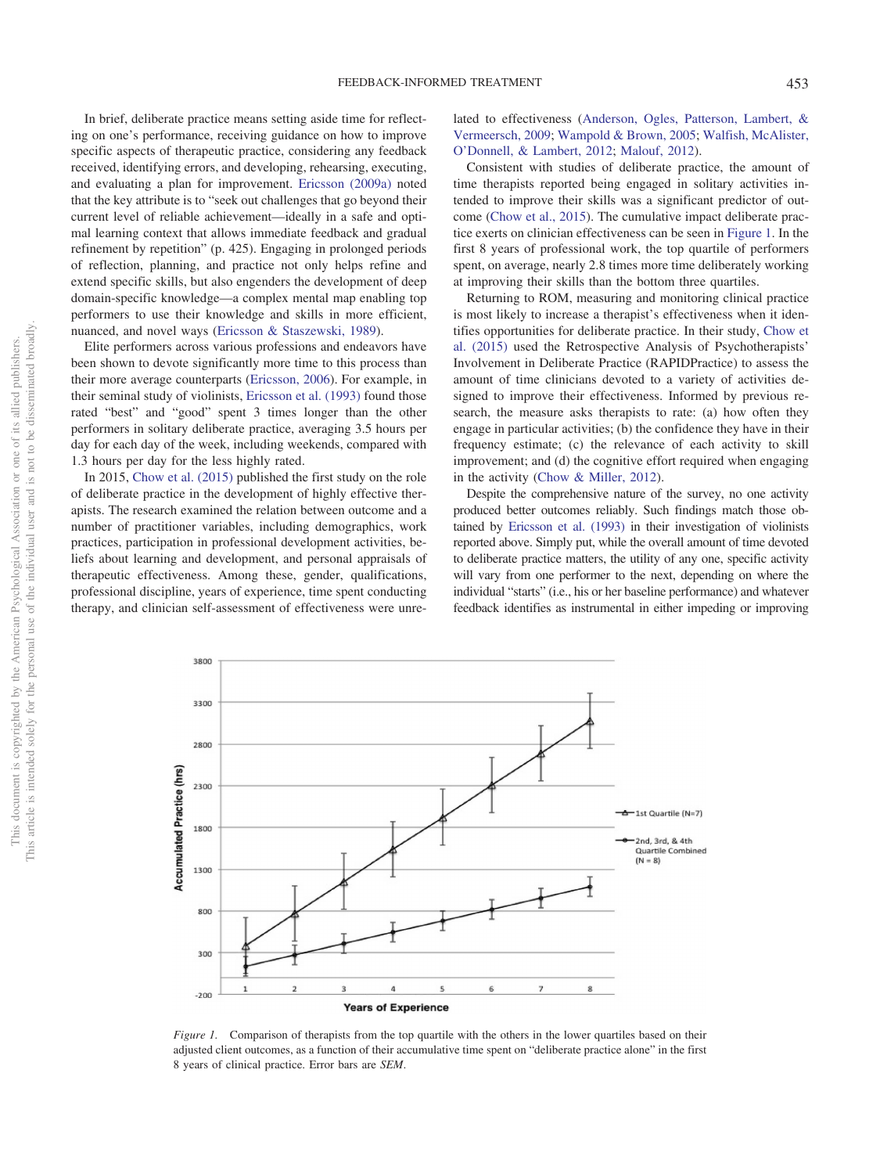In brief, deliberate practice means setting aside time for reflecting on one's performance, receiving guidance on how to improve specific aspects of therapeutic practice, considering any feedback received, identifying errors, and developing, rehearsing, executing, and evaluating a plan for improvement. [Ericsson \(2009a\)](#page-7-26) noted that the key attribute is to "seek out challenges that go beyond their current level of reliable achievement—ideally in a safe and optimal learning context that allows immediate feedback and gradual refinement by repetition" (p. 425). Engaging in prolonged periods of reflection, planning, and practice not only helps refine and extend specific skills, but also engenders the development of deep domain-specific knowledge—a complex mental map enabling top performers to use their knowledge and skills in more efficient, nuanced, and novel ways [\(Ericsson & Staszewski, 1989\)](#page-7-31).

Elite performers across various professions and endeavors have been shown to devote significantly more time to this process than their more average counterparts [\(Ericsson, 2006\)](#page-7-28). For example, in their seminal study of violinists, [Ericsson et al. \(1993\)](#page-7-30) found those rated "best" and "good" spent 3 times longer than the other performers in solitary deliberate practice, averaging 3.5 hours per day for each day of the week, including weekends, compared with 1.3 hours per day for the less highly rated.

In 2015, [Chow et al. \(2015\)](#page-7-32) published the first study on the role of deliberate practice in the development of highly effective therapists. The research examined the relation between outcome and a number of practitioner variables, including demographics, work practices, participation in professional development activities, beliefs about learning and development, and personal appraisals of therapeutic effectiveness. Among these, gender, qualifications, professional discipline, years of experience, time spent conducting therapy, and clinician self-assessment of effectiveness were unrelated to effectiveness [\(Anderson, Ogles, Patterson, Lambert, &](#page-6-11) [Vermeersch, 2009;](#page-6-11) [Wampold & Brown, 2005;](#page-8-23) [Walfish, McAlister,](#page-8-24) [O'Donnell, & Lambert, 2012;](#page-8-24) [Malouf, 2012\)](#page-7-33).

Consistent with studies of deliberate practice, the amount of time therapists reported being engaged in solitary activities intended to improve their skills was a significant predictor of outcome [\(Chow et al., 2015\)](#page-7-32). The cumulative impact deliberate practice exerts on clinician effectiveness can be seen in [Figure 1.](#page-4-0) In the first 8 years of professional work, the top quartile of performers spent, on average, nearly 2.8 times more time deliberately working at improving their skills than the bottom three quartiles.

Returning to ROM, measuring and monitoring clinical practice is most likely to increase a therapist's effectiveness when it identifies opportunities for deliberate practice. In their study, [Chow et](#page-7-32) [al. \(2015\)](#page-7-32) used the Retrospective Analysis of Psychotherapists' Involvement in Deliberate Practice (RAPIDPractice) to assess the amount of time clinicians devoted to a variety of activities designed to improve their effectiveness. Informed by previous research, the measure asks therapists to rate: (a) how often they engage in particular activities; (b) the confidence they have in their frequency estimate; (c) the relevance of each activity to skill improvement; and (d) the cognitive effort required when engaging in the activity [\(Chow & Miller, 2012\)](#page-6-12).

Despite the comprehensive nature of the survey, no one activity produced better outcomes reliably. Such findings match those obtained by [Ericsson et al. \(1993\)](#page-7-30) in their investigation of violinists reported above. Simply put, while the overall amount of time devoted to deliberate practice matters, the utility of any one, specific activity will vary from one performer to the next, depending on where the individual "starts" (i.e., his or her baseline performance) and whatever feedback identifies as instrumental in either impeding or improving



<span id="page-4-0"></span>*Figure 1.* Comparison of therapists from the top quartile with the others in the lower quartiles based on their adjusted client outcomes, as a function of their accumulative time spent on "deliberate practice alone" in the first 8 years of clinical practice. Error bars are *SEM*.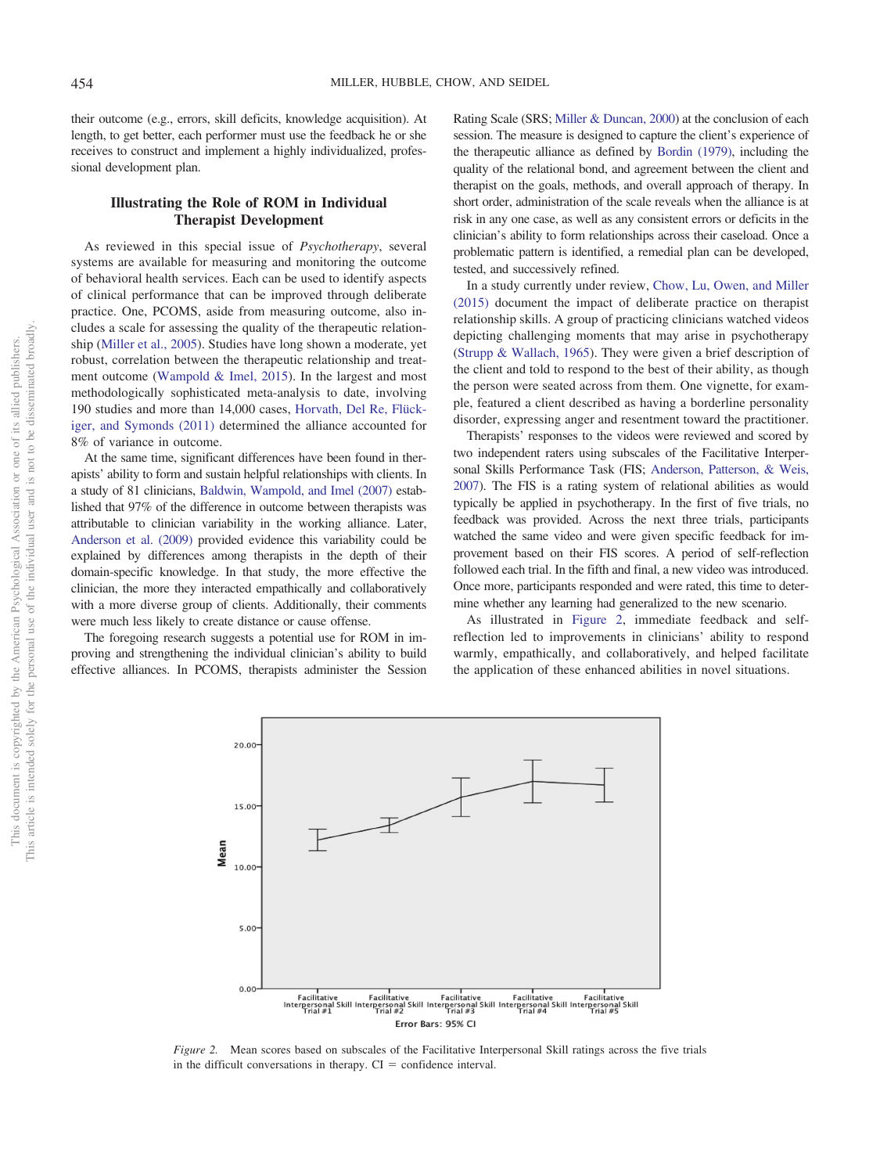their outcome (e.g., errors, skill deficits, knowledge acquisition). At length, to get better, each performer must use the feedback he or she receives to construct and implement a highly individualized, professional development plan.

## **Illustrating the Role of ROM in Individual Therapist Development**

As reviewed in this special issue of *Psychotherapy*, several systems are available for measuring and monitoring the outcome of behavioral health services. Each can be used to identify aspects of clinical performance that can be improved through deliberate practice. One, PCOMS, aside from measuring outcome, also includes a scale for assessing the quality of the therapeutic relationship [\(Miller et al., 2005\)](#page-8-5). Studies have long shown a moderate, yet robust, correlation between the therapeutic relationship and treatment outcome [\(Wampold & Imel, 2015\)](#page-8-11). In the largest and most methodologically sophisticated meta-analysis to date, involving 190 studies and more than 14,000 cases, [Horvath, Del Re, Flück](#page-7-34)[iger, and Symonds \(2011\)](#page-7-34) determined the alliance accounted for 8% of variance in outcome.

At the same time, significant differences have been found in therapists' ability to form and sustain helpful relationships with clients. In a study of 81 clinicians, [Baldwin, Wampold, and Imel \(2007\)](#page-6-13) established that 97% of the difference in outcome between therapists was attributable to clinician variability in the working alliance. Later, [Anderson et al. \(2009\)](#page-6-11) provided evidence this variability could be explained by differences among therapists in the depth of their domain-specific knowledge. In that study, the more effective the clinician, the more they interacted empathically and collaboratively with a more diverse group of clients. Additionally, their comments were much less likely to create distance or cause offense.

The foregoing research suggests a potential use for ROM in improving and strengthening the individual clinician's ability to build effective alliances. In PCOMS, therapists administer the Session

Rating Scale (SRS; [Miller & Duncan, 2000\)](#page-8-25) at the conclusion of each session. The measure is designed to capture the client's experience of the therapeutic alliance as defined by [Bordin \(1979\),](#page-6-14) including the quality of the relational bond, and agreement between the client and therapist on the goals, methods, and overall approach of therapy. In short order, administration of the scale reveals when the alliance is at risk in any one case, as well as any consistent errors or deficits in the clinician's ability to form relationships across their caseload. Once a problematic pattern is identified, a remedial plan can be developed, tested, and successively refined.

In a study currently under review, [Chow, Lu, Owen, and Miller](#page-7-35) [\(2015\)](#page-7-35) document the impact of deliberate practice on therapist relationship skills. A group of practicing clinicians watched videos depicting challenging moments that may arise in psychotherapy [\(Strupp & Wallach, 1965\)](#page-8-26). They were given a brief description of the client and told to respond to the best of their ability, as though the person were seated across from them. One vignette, for example, featured a client described as having a borderline personality disorder, expressing anger and resentment toward the practitioner.

Therapists' responses to the videos were reviewed and scored by two independent raters using subscales of the Facilitative Interpersonal Skills Performance Task (FIS; [Anderson, Patterson, & Weis,](#page-6-15) [2007\)](#page-6-15). The FIS is a rating system of relational abilities as would typically be applied in psychotherapy. In the first of five trials, no feedback was provided. Across the next three trials, participants watched the same video and were given specific feedback for improvement based on their FIS scores. A period of self-reflection followed each trial. In the fifth and final, a new video was introduced. Once more, participants responded and were rated, this time to determine whether any learning had generalized to the new scenario.

As illustrated in [Figure 2,](#page-5-0) immediate feedback and selfreflection led to improvements in clinicians' ability to respond warmly, empathically, and collaboratively, and helped facilitate the application of these enhanced abilities in novel situations.



<span id="page-5-0"></span>*Figure 2.* Mean scores based on subscales of the Facilitative Interpersonal Skill ratings across the five trials in the difficult conversations in therapy.  $CI =$  confidence interval.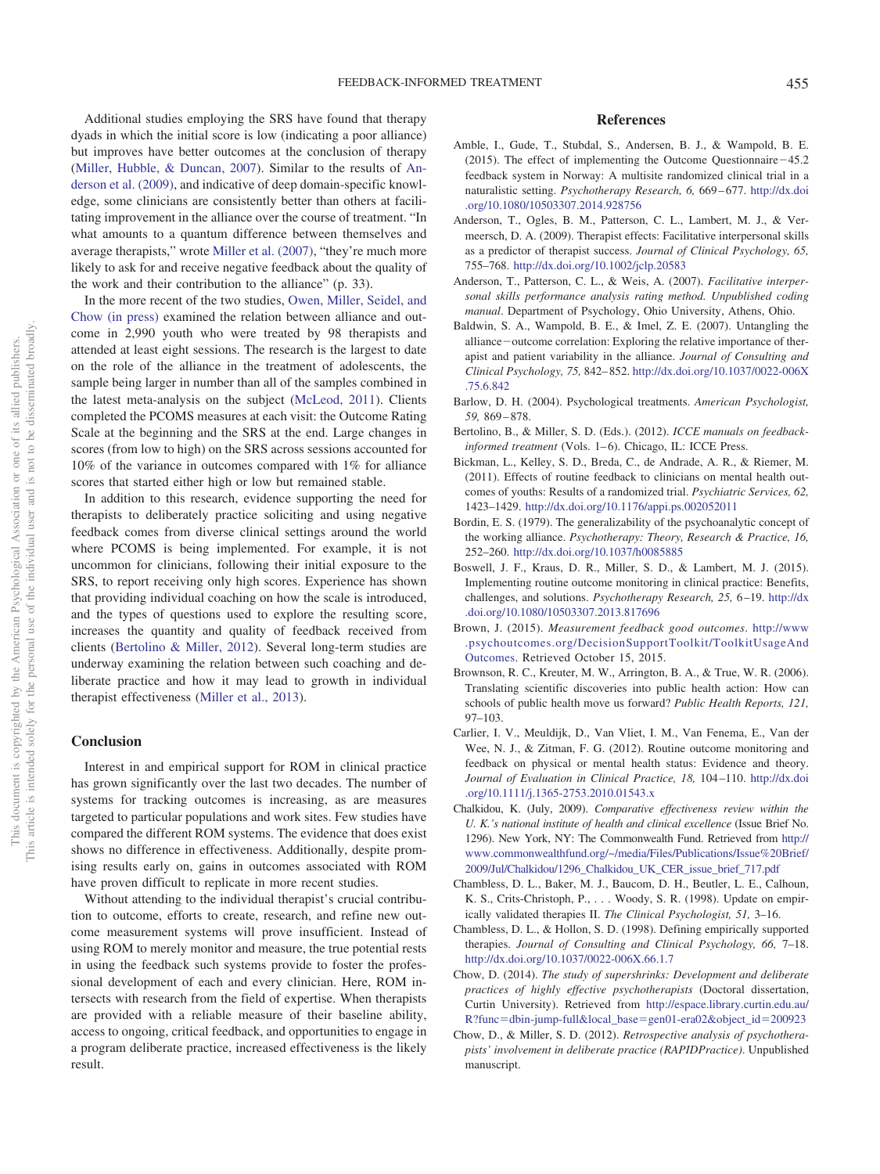Additional studies employing the SRS have found that therapy dyads in which the initial score is low (indicating a poor alliance) but improves have better outcomes at the conclusion of therapy [\(Miller, Hubble, & Duncan, 2007\)](#page-8-27). Similar to the results of [An](#page-6-11)[derson et al. \(2009\),](#page-6-11) and indicative of deep domain-specific knowledge, some clinicians are consistently better than others at facilitating improvement in the alliance over the course of treatment. "In what amounts to a quantum difference between themselves and average therapists," wrote [Miller et al. \(2007\),](#page-8-27) "they're much more likely to ask for and receive negative feedback about the quality of the work and their contribution to the alliance" (p. 33).

In the more recent of the two studies, [Owen, Miller, Seidel, and](#page-8-28) [Chow \(in press\)](#page-8-28) examined the relation between alliance and outcome in 2,990 youth who were treated by 98 therapists and attended at least eight sessions. The research is the largest to date on the role of the alliance in the treatment of adolescents, the sample being larger in number than all of the samples combined in the latest meta-analysis on the subject [\(McLeod, 2011\)](#page-7-36). Clients completed the PCOMS measures at each visit: the Outcome Rating Scale at the beginning and the SRS at the end. Large changes in scores (from low to high) on the SRS across sessions accounted for 10% of the variance in outcomes compared with 1% for alliance scores that started either high or low but remained stable.

In addition to this research, evidence supporting the need for therapists to deliberately practice soliciting and using negative feedback comes from diverse clinical settings around the world where PCOMS is being implemented. For example, it is not uncommon for clinicians, following their initial exposure to the SRS, to report receiving only high scores. Experience has shown that providing individual coaching on how the scale is introduced, and the types of questions used to explore the resulting score, increases the quantity and quality of feedback received from clients [\(Bertolino & Miller, 2012\)](#page-6-5). Several long-term studies are underway examining the relation between such coaching and deliberate practice and how it may lead to growth in individual therapist effectiveness [\(Miller et al., 2013\)](#page-8-22).

### **Conclusion**

Interest in and empirical support for ROM in clinical practice has grown significantly over the last two decades. The number of systems for tracking outcomes is increasing, as are measures targeted to particular populations and work sites. Few studies have compared the different ROM systems. The evidence that does exist shows no difference in effectiveness. Additionally, despite promising results early on, gains in outcomes associated with ROM have proven difficult to replicate in more recent studies.

Without attending to the individual therapist's crucial contribution to outcome, efforts to create, research, and refine new outcome measurement systems will prove insufficient. Instead of using ROM to merely monitor and measure, the true potential rests in using the feedback such systems provide to foster the professional development of each and every clinician. Here, ROM intersects with research from the field of expertise. When therapists are provided with a reliable measure of their baseline ability, access to ongoing, critical feedback, and opportunities to engage in a program deliberate practice, increased effectiveness is the likely result.

#### **References**

- <span id="page-6-9"></span>Amble, I., Gude, T., Stubdal, S., Andersen, B. J., & Wampold, B. E. (2015). The effect of implementing the Outcome Questionnaire-45.2 feedback system in Norway: A multisite randomized clinical trial in a naturalistic setting. *Psychotherapy Research, 6,* 669 – 677. [http://dx.doi](http://dx.doi.org/10.1080/10503307.2014.928756) [.org/10.1080/10503307.2014.928756](http://dx.doi.org/10.1080/10503307.2014.928756)
- <span id="page-6-11"></span>Anderson, T., Ogles, B. M., Patterson, C. L., Lambert, M. J., & Vermeersch, D. A. (2009). Therapist effects: Facilitative interpersonal skills as a predictor of therapist success. *Journal of Clinical Psychology, 65,* 755–768. <http://dx.doi.org/10.1002/jclp.20583>
- <span id="page-6-15"></span>Anderson, T., Patterson, C. L., & Weis, A. (2007). *Facilitative interpersonal skills performance analysis rating method. Unpublished coding manual*. Department of Psychology, Ohio University, Athens, Ohio.
- <span id="page-6-13"></span>Baldwin, S. A., Wampold, B. E., & Imel, Z. E. (2007). Untangling the alliance-outcome correlation: Exploring the relative importance of therapist and patient variability in the alliance. *Journal of Consulting and Clinical Psychology, 75,* 842– 852. [http://dx.doi.org/10.1037/0022-006X](http://dx.doi.org/10.1037/0022-006X.75.6.842) [.75.6.842](http://dx.doi.org/10.1037/0022-006X.75.6.842)
- <span id="page-6-8"></span>Barlow, D. H. (2004). Psychological treatments. *American Psychologist, 59,* 869 – 878.
- <span id="page-6-5"></span>Bertolino, B., & Miller, S. D. (Eds.). (2012). *ICCE manuals on feedbackinformed treatment* (Vols. 1–6). Chicago, IL: ICCE Press.
- <span id="page-6-2"></span>Bickman, L., Kelley, S. D., Breda, C., de Andrade, A. R., & Riemer, M. (2011). Effects of routine feedback to clinicians on mental health outcomes of youths: Results of a randomized trial. *Psychiatric Services, 62,* 1423–1429. <http://dx.doi.org/10.1176/appi.ps.002052011>
- <span id="page-6-14"></span>Bordin, E. S. (1979). The generalizability of the psychoanalytic concept of the working alliance. *Psychotherapy: Theory, Research & Practice, 16,* 252–260. <http://dx.doi.org/10.1037/h0085885>
- <span id="page-6-4"></span>Boswell, J. F., Kraus, D. R., Miller, S. D., & Lambert, M. J. (2015). Implementing routine outcome monitoring in clinical practice: Benefits, challenges, and solutions. *Psychotherapy Research*, 25, 6-19. [http://dx](http://dx.doi.org/10.1080/10503307.2013.817696) [.doi.org/10.1080/10503307.2013.817696](http://dx.doi.org/10.1080/10503307.2013.817696)
- <span id="page-6-1"></span>Brown, J. (2015). *Measurement feedback good outcomes*. [http://www](http://www.psychoutcomes.org/DecisionSupportToolkit/ToolkitUsageAndOutcomes) [.psychoutcomes.org/DecisionSupportToolkit/ToolkitUsageAnd](http://www.psychoutcomes.org/DecisionSupportToolkit/ToolkitUsageAndOutcomes) [Outcomes.](http://www.psychoutcomes.org/DecisionSupportToolkit/ToolkitUsageAndOutcomes) Retrieved October 15, 2015.
- <span id="page-6-3"></span>Brownson, R. C., Kreuter, M. W., Arrington, B. A., & True, W. R. (2006). Translating scientific discoveries into public health action: How can schools of public health move us forward? *Public Health Reports, 121,* 97–103.
- <span id="page-6-0"></span>Carlier, I. V., Meuldijk, D., Van Vliet, I. M., Van Fenema, E., Van der Wee, N. J., & Zitman, F. G. (2012). Routine outcome monitoring and feedback on physical or mental health status: Evidence and theory. *Journal of Evaluation in Clinical Practice, 18,* 104 –110. [http://dx.doi](http://dx.doi.org/10.1111/j.1365-2753.2010.01543.x) [.org/10.1111/j.1365-2753.2010.01543.x](http://dx.doi.org/10.1111/j.1365-2753.2010.01543.x)
- <span id="page-6-7"></span>Chalkidou, K. (July, 2009). *Comparative effectiveness review within the U. K.'s national institute of health and clinical excellence* (Issue Brief No. 1296). New York, NY: The Commonwealth Fund. Retrieved from [http://](http://www.commonwealthfund.org/%7E/media/Files/Publications/Issue%20Brief/2009/Jul/Chalkidou/1296_Chalkidou_UK_CER_issue_brief_717.pdf) [www.commonwealthfund.org/~/media/Files/Publications/Issue%20Brief/](http://www.commonwealthfund.org/%7E/media/Files/Publications/Issue%20Brief/2009/Jul/Chalkidou/1296_Chalkidou_UK_CER_issue_brief_717.pdf) [2009/Jul/Chalkidou/1296\\_Chalkidou\\_UK\\_CER\\_issue\\_brief\\_717.pdf](http://www.commonwealthfund.org/%7E/media/Files/Publications/Issue%20Brief/2009/Jul/Chalkidou/1296_Chalkidou_UK_CER_issue_brief_717.pdf)
- <span id="page-6-6"></span>Chambless, D. L., Baker, M. J., Baucom, D. H., Beutler, L. E., Calhoun, K. S., Crits-Christoph, P., . . . Woody, S. R. (1998). Update on empirically validated therapies II. *The Clinical Psychologist, 51,* 3–16.
- Chambless, D. L., & Hollon, S. D. (1998). Defining empirically supported therapies. *Journal of Consulting and Clinical Psychology, 66,* 7–18. <http://dx.doi.org/10.1037/0022-006X.66.1.7>
- <span id="page-6-10"></span>Chow, D. (2014). *The study of supershrinks: Development and deliberate practices of highly effective psychotherapists* (Doctoral dissertation, Curtin University). Retrieved from [http://espace.library.curtin.edu.au/](http://espace.library.curtin.edu.au/R?func=dbin-jump-full&local_base=gen01-era02&object_id=200923) R?func=[dbin-jump-full&local\\_base](http://espace.library.curtin.edu.au/R?func=dbin-jump-full&local_base=gen01-era02&object_id=200923)=gen01-era02&object\_id=200923
- <span id="page-6-12"></span>Chow, D., & Miller, S. D. (2012). *Retrospective analysis of psychotherapists' involvement in deliberate practice (RAPIDPractice)*. Unpublished manuscript.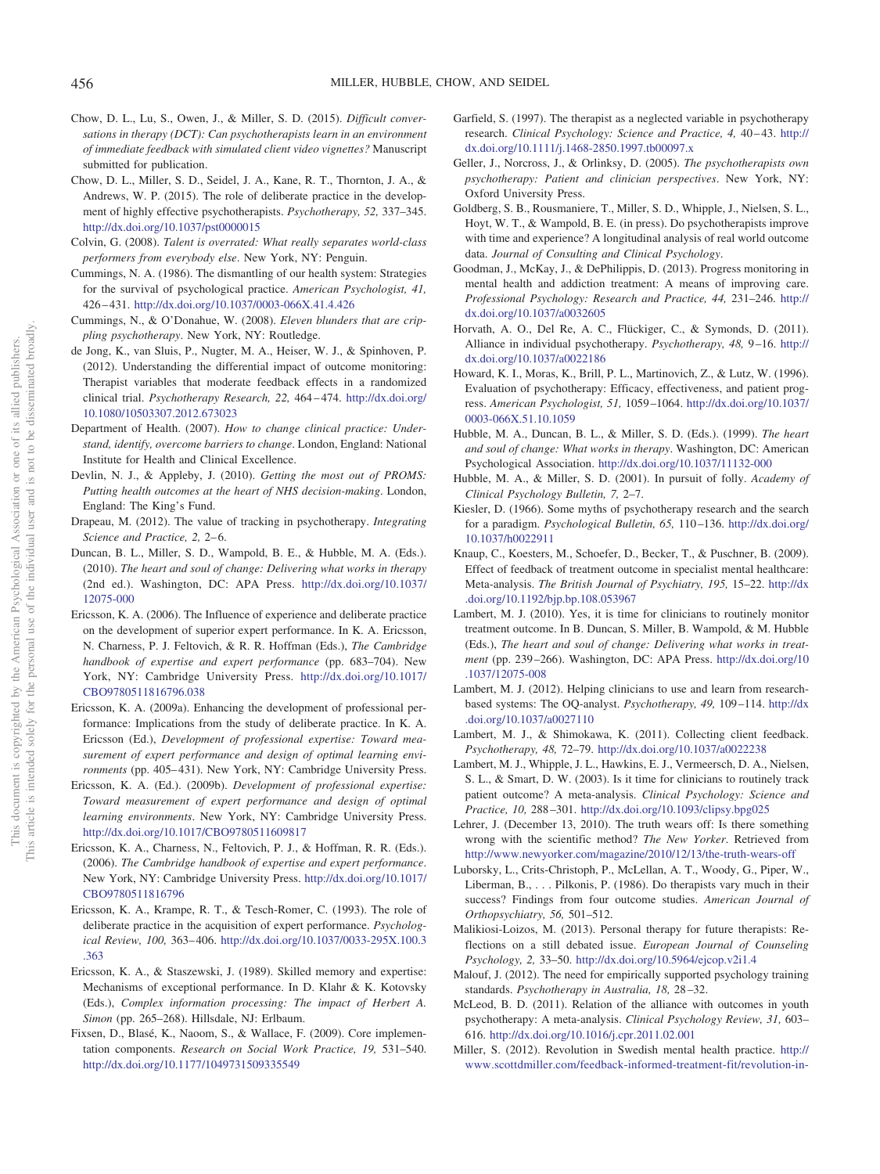- <span id="page-7-35"></span>Chow, D. L., Lu, S., Owen, J., & Miller, S. D. (2015). *Difficult conversations in therapy (DCT): Can psychotherapists learn in an environment of immediate feedback with simulated client video vignettes?* Manuscript submitted for publication.
- <span id="page-7-32"></span>Chow, D. L., Miller, S. D., Seidel, J. A., Kane, R. T., Thornton, J. A., & Andrews, W. P. (2015). The role of deliberate practice in the development of highly effective psychotherapists. *Psychotherapy, 52,* 337–345. <http://dx.doi.org/10.1037/pst0000015>
- <span id="page-7-25"></span>Colvin, G. (2008). *Talent is overrated: What really separates world-class performers from everybody else*. New York, NY: Penguin.
- <span id="page-7-8"></span>Cummings, N. A. (1986). The dismantling of our health system: Strategies for the survival of psychological practice. *American Psychologist, 41,* 426 – 431. <http://dx.doi.org/10.1037/0003-066X.41.4.426>
- <span id="page-7-12"></span>Cummings, N., & O'Donahue, W. (2008). *Eleven blunders that are crippling psychotherapy*. New York, NY: Routledge.
- <span id="page-7-20"></span>de Jong, K., van Sluis, P., Nugter, M. A., Heiser, W. J., & Spinhoven, P. (2012). Understanding the differential impact of outcome monitoring: Therapist variables that moderate feedback effects in a randomized clinical trial. *Psychotherapy Research, 22,* 464 – 474. [http://dx.doi.org/](http://dx.doi.org/10.1080/10503307.2012.673023) [10.1080/10503307.2012.673023](http://dx.doi.org/10.1080/10503307.2012.673023)
- <span id="page-7-10"></span>Department of Health. (2007). *How to change clinical practice: Understand, identify, overcome barriers to change*. London, England: National Institute for Health and Clinical Excellence.
- <span id="page-7-4"></span>Devlin, N. J., & Appleby, J. (2010). *Getting the most out of PROMS: Putting health outcomes at the heart of NHS decision-making*. London, England: The King's Fund.
- <span id="page-7-1"></span>Drapeau, M. (2012). The value of tracking in psychotherapy. *Integrating Science and Practice, 2,* 2– 6.
- <span id="page-7-13"></span>Duncan, B. L., Miller, S. D., Wampold, B. E., & Hubble, M. A. (Eds.). (2010). *The heart and soul of change: Delivering what works in therapy* (2nd ed.). Washington, DC: APA Press. [http://dx.doi.org/10.1037/](http://dx.doi.org/10.1037/12075-000) [12075-000](http://dx.doi.org/10.1037/12075-000)
- <span id="page-7-28"></span>Ericsson, K. A. (2006). The Influence of experience and deliberate practice on the development of superior expert performance. In K. A. Ericsson, N. Charness, P. J. Feltovich, & R. R. Hoffman (Eds.), *The Cambridge handbook of expertise and expert performance* (pp. 683–704). New York, NY: Cambridge University Press. [http://dx.doi.org/10.1017/](http://dx.doi.org/10.1017/CBO9780511816796.038) [CBO9780511816796.038](http://dx.doi.org/10.1017/CBO9780511816796.038)
- <span id="page-7-26"></span>Ericsson, K. A. (2009a). Enhancing the development of professional performance: Implications from the study of deliberate practice. In K. A. Ericsson (Ed.), *Development of professional expertise: Toward measurement of expert performance and design of optimal learning environments* (pp. 405–431). New York, NY: Cambridge University Press.
- <span id="page-7-29"></span>Ericsson, K. A. (Ed.). (2009b). *Development of professional expertise: Toward measurement of expert performance and design of optimal learning environments*. New York, NY: Cambridge University Press. <http://dx.doi.org/10.1017/CBO9780511609817>
- <span id="page-7-27"></span>Ericsson, K. A., Charness, N., Feltovich, P. J., & Hoffman, R. R. (Eds.). (2006). *The Cambridge handbook of expertise and expert performance*. New York, NY: Cambridge University Press. [http://dx.doi.org/10.1017/](http://dx.doi.org/10.1017/CBO9780511816796) [CBO9780511816796](http://dx.doi.org/10.1017/CBO9780511816796)
- <span id="page-7-30"></span>Ericsson, K. A., Krampe, R. T., & Tesch-Romer, C. (1993). The role of deliberate practice in the acquisition of expert performance. *Psychological Review, 100,* 363– 406. [http://dx.doi.org/10.1037/0033-295X.100.3](http://dx.doi.org/10.1037/0033-295X.100.3.363) [.363](http://dx.doi.org/10.1037/0033-295X.100.3.363)
- <span id="page-7-31"></span>Ericsson, K. A., & Staszewski, J. (1989). Skilled memory and expertise: Mechanisms of exceptional performance. In D. Klahr & K. Kotovsky (Eds.), *Complex information processing: The impact of Herbert A. Simon* (pp. 265–268). Hillsdale, NJ: Erlbaum.
- <span id="page-7-6"></span>Fixsen, D., Blasé, K., Naoom, S., & Wallace, F. (2009). Core implementation components. *Research on Social Work Practice, 19,* 531–540. <http://dx.doi.org/10.1177/1049731509335549>
- <span id="page-7-18"></span>Garfield, S. (1997). The therapist as a neglected variable in psychotherapy research. *Clinical Psychology: Science and Practice, 4, 40–43. [http://](http://dx.doi.org/10.1111/j.1468-2850.1997.tb00097.x)* [dx.doi.org/10.1111/j.1468-2850.1997.tb00097.x](http://dx.doi.org/10.1111/j.1468-2850.1997.tb00097.x)
- <span id="page-7-24"></span>Geller, J., Norcross, J., & Orlinksy, D. (2005). *The psychotherapists own psychotherapy: Patient and clinician perspectives*. New York, NY: Oxford University Press.
- <span id="page-7-21"></span>Goldberg, S. B., Rousmaniere, T., Miller, S. D., Whipple, J., Nielsen, S. L., Hoyt, W. T., & Wampold, B. E. (in press). Do psychotherapists improve with time and experience? A longitudinal analysis of real world outcome data. *Journal of Consulting and Clinical Psychology*.
- <span id="page-7-2"></span>Goodman, J., McKay, J., & DePhilippis, D. (2013). Progress monitoring in mental health and addiction treatment: A means of improving care. *Professional Psychology: Research and Practice, 44,* 231–246. [http://](http://dx.doi.org/10.1037/a0032605) [dx.doi.org/10.1037/a0032605](http://dx.doi.org/10.1037/a0032605)
- <span id="page-7-34"></span>Horvath, A. O., Del Re, A. C., Flückiger, C., & Symonds, D. (2011). Alliance in individual psychotherapy. *Psychotherapy, 48,* 9 –16. [http://](http://dx.doi.org/10.1037/a0022186) [dx.doi.org/10.1037/a0022186](http://dx.doi.org/10.1037/a0022186)
- <span id="page-7-0"></span>Howard, K. I., Moras, K., Brill, P. L., Martinovich, Z., & Lutz, W. (1996). Evaluation of psychotherapy: Efficacy, effectiveness, and patient progress. *American Psychologist, 51,* 1059 –1064. [http://dx.doi.org/10.1037/](http://dx.doi.org/10.1037/0003-066X.51.10.1059) [0003-066X.51.10.1059](http://dx.doi.org/10.1037/0003-066X.51.10.1059)
- <span id="page-7-7"></span>Hubble, M. A., Duncan, B. L., & Miller, S. D. (Eds.). (1999). *The heart and soul of change: What works in therapy*. Washington, DC: American Psychological Association. <http://dx.doi.org/10.1037/11132-000>
- <span id="page-7-9"></span>Hubble, M. A., & Miller, S. D. (2001). In pursuit of folly. *Academy of Clinical Psychology Bulletin, 7,* 2–7.
- <span id="page-7-22"></span>Kiesler, D. (1966). Some myths of psychotherapy research and the search for a paradigm. *Psychological Bulletin, 65,* 110 –136. [http://dx.doi.org/](http://dx.doi.org/10.1037/h0022911) [10.1037/h0022911](http://dx.doi.org/10.1037/h0022911)
- <span id="page-7-16"></span>Knaup, C., Koesters, M., Schoefer, D., Becker, T., & Puschner, B. (2009). Effect of feedback of treatment outcome in specialist mental healthcare: Meta-analysis. *The British Journal of Psychiatry, 195,* 15–22. [http://dx](http://dx.doi.org/10.1192/bjp.bp.108.053967) [.doi.org/10.1192/bjp.bp.108.053967](http://dx.doi.org/10.1192/bjp.bp.108.053967)
- <span id="page-7-3"></span>Lambert, M. J. (2010). Yes, it is time for clinicians to routinely monitor treatment outcome. In B. Duncan, S. Miller, B. Wampold, & M. Hubble (Eds.), *The heart and soul of change: Delivering what works in treatment* (pp. 239 –266). Washington, DC: APA Press. [http://dx.doi.org/10](http://dx.doi.org/10.1037/12075-008) [.1037/12075-008](http://dx.doi.org/10.1037/12075-008)
- <span id="page-7-5"></span>Lambert, M. J. (2012). Helping clinicians to use and learn from researchbased systems: The OQ-analyst. *Psychotherapy, 49,* 109 –114. [http://dx](http://dx.doi.org/10.1037/a0027110) [.doi.org/10.1037/a0027110](http://dx.doi.org/10.1037/a0027110)
- <span id="page-7-14"></span>Lambert, M. J., & Shimokawa, K. (2011). Collecting client feedback. *Psychotherapy, 48,* 72–79. <http://dx.doi.org/10.1037/a0022238>
- <span id="page-7-15"></span>Lambert, M. J., Whipple, J. L., Hawkins, E. J., Vermeersch, D. A., Nielsen, S. L., & Smart, D. W. (2003). Is it time for clinicians to routinely track patient outcome? A meta-analysis. *Clinical Psychology: Science and Practice, 10,* 288 –301. <http://dx.doi.org/10.1093/clipsy.bpg025>
- <span id="page-7-17"></span>Lehrer, J. (December 13, 2010). The truth wears off: Is there something wrong with the scientific method? *The New Yorker*. Retrieved from <http://www.newyorker.com/magazine/2010/12/13/the-truth-wears-off>
- <span id="page-7-19"></span>Luborsky, L., Crits-Christoph, P., McLellan, A. T., Woody, G., Piper, W., Liberman, B.,... Pilkonis, P. (1986). Do therapists vary much in their success? Findings from four outcome studies. *American Journal of Orthopsychiatry, 56,* 501–512.
- <span id="page-7-23"></span>Malikiosi-Loizos, M. (2013). Personal therapy for future therapists: Reflections on a still debated issue. *European Journal of Counseling Psychology, 2,* 33–50. <http://dx.doi.org/10.5964/ejcop.v2i1.4>
- <span id="page-7-33"></span>Malouf, J. (2012). The need for empirically supported psychology training standards. *Psychotherapy in Australia, 18,* 28 –32.
- <span id="page-7-36"></span>McLeod, B. D. (2011). Relation of the alliance with outcomes in youth psychotherapy: A meta-analysis. *Clinical Psychology Review, 31,* 603– 616. <http://dx.doi.org/10.1016/j.cpr.2011.02.001>
- <span id="page-7-11"></span>Miller, S. (2012). Revolution in Swedish mental health practice. [http://](http://www.scottdmiller.com/feedback-informed-treatment-fit/revolution-in-swedish-mental-health-practice-the-cognitive-behavioral-therapy-monopoly-gives-way/) [www.scottdmiller.com/feedback-informed-treatment-fit/revolution-in-](http://www.scottdmiller.com/feedback-informed-treatment-fit/revolution-in-swedish-mental-health-practice-the-cognitive-behavioral-therapy-monopoly-gives-way/)